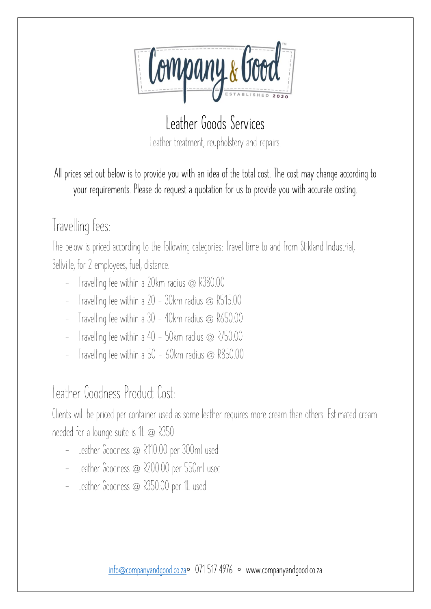

## **Leather Goods Services** Leather treatment, reupholstery and repairs.

**All prices set out below is to provide you with an idea of the total cost. The cost may change according to your requirements. Please do request a quotation for us to provide you with accurate costing.**

# Travelling fees:

The below is priced according to the following categories: Travel time to and from Stikland Industrial, Bellville, for 2 employees, fuel, distance.

- Travelling fee within a 20km radius @ R380.00
- Travelling fee within a 20 30km radius @ R515.00
- Travelling fee within a  $30 40$ km radius @  $R650.00$
- Travelling fee within a  $40 50$ km radius @ R750.00
- Travelling fee within a 50 60km radius @ R850.00

## Leather Goodness Product Cost:

Clients will be priced per container used as some leather requires more cream than others. Estimated cream needed for a lounge suite is 1L @ R350

- Leather Goodness @ R110.00 per 300ml used
- Leather Goodness @ R200.00 per 550ml used
- Leather Goodness @ R350.00 per 1L used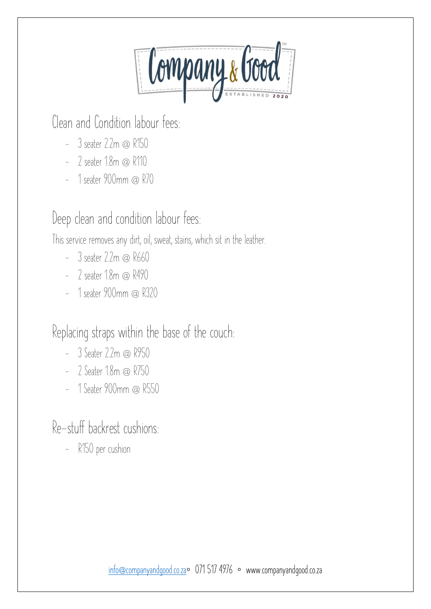Company & Good

Clean and Condition labour fees:

- $-$  3 seater 2.2m  $\omega$  R150
- 2 seater 1.8m @ R110
- 1 seater 900mm @ R70

#### Deep clean and condition labour fees:

This service removes any dirt, oil, sweat, stains, which sit in the leather.

- $-$  3 seater 2.2m  $\omega$  R660
- $-$  2 seater 1.8m  $\omega$  R490
- 1 seater 900mm @ R320

Replacing straps within the base of the couch:

- $-3$  Seater 2.2m @ R950
- 2 Seater 1.8m @ R750
- 1 Seater 900mm @ R550

Re-stuff backrest cushions:

- R150 per cushion